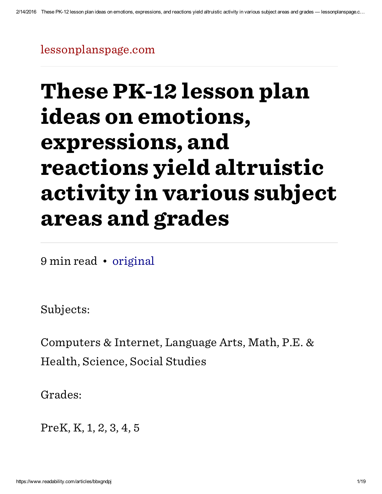[lessonplanspage.com](http://lessonplanspage.com/otherlassmathsciencepecimdacademicandaltruisticlessonsmo-htm/)

# These PK-12 lesson plan ideas on emotions, expressions, and reactions yield altruistic activity in various subject areas and grades

9 min read • [original](http://lessonplanspage.com/otherlassmathsciencepecimdacademicandaltruisticlessonsmo-htm/)

Subjects:

Computers & Internet, Language Arts, Math, P.E. & Health, Science, Social Studies

Grades:

PreK, K, 1, 2, 3, 4, 5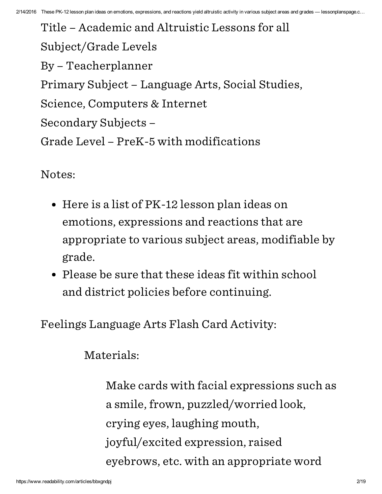Title – Academic and Altruistic Lessons for all Subject/Grade Levels By – Teacherplanner Primary Subject – Language Arts, Social Studies, Science, Computers & Internet Secondary Subjects – Grade Level – PreK-5 with modifications

Notes:

- Here is a list of PK-12 lesson plan ideas on emotions, expressions and reactions that are appropriate to various subject areas, modifiable by grade.
- Please be sure that these ideas fit within school and district policies before continuing.

Feelings Language Arts Flash Card Activity:

Materials:

Make cards with facial expressions such as a smile, frown, puzzled/worried look, crying eyes, laughing mouth, joyful/excited expression, raised eyebrows, etc. with an appropriate word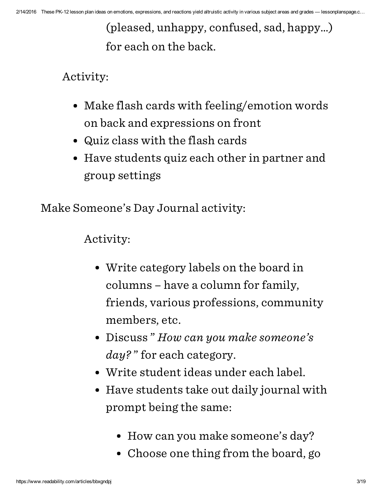(pleased, unhappy, confused, sad, happy…) for each on the back.

Activity:

- Make flash cards with feeling/emotion words on back and expressions on front
- Quiz class with the flash cards
- Have students quiz each other in partner and group settings

Make Someone's Day Journal activity:

Activity:

- Write category labels on the board in columns – have a column for family, friends, various professions, community members, etc.
- Discuss" How can you make someone's day?" for each category.
- Write student ideas under each label.
- Have students take out daily journal with prompt being the same:
	- How can you make someone's day?
	- Choose one thing from the board, go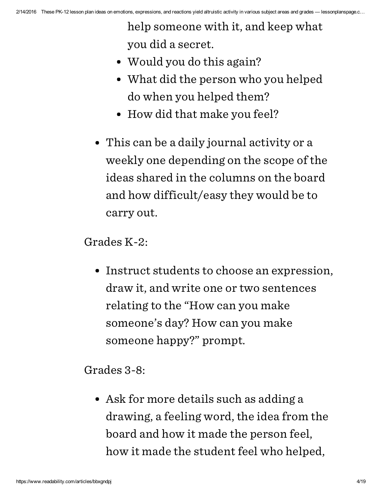help someone with it, and keep what you did a secret.

- Would you do this again?
- What did the person who you helped do when you helped them?
- How did that make you feel?
- This can be a daily journal activity or a weekly one depending on the scope of the ideas shared in the columns on the board and how difficult/easy they would be to carry out.

Grades K-2:

Instruct students to choose an expression, draw it, and write one or two sentences relating to the "How can you make someone's day? How can you make someone happy?" prompt.

Grades 3-8:

• Ask for more details such as adding a drawing, a feeling word, the idea from the board and how it made the person feel, how it made the student feel who helped,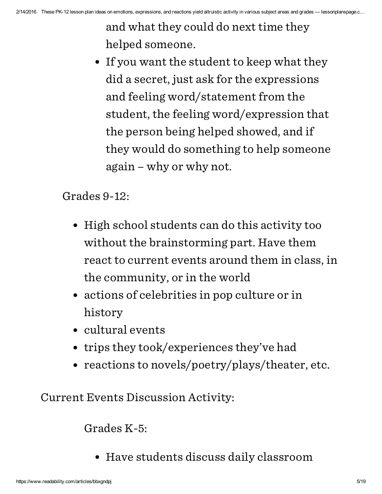and what they could do next time they helped someone.

• If you want the student to keep what they did a secret, just ask for the expressions and feeling word/statement from the student, the feeling word/expression that the person being helped showed, and if they would do something to help someone again – why or why not.

Grades 9-12:

- High school students can do this activity too without the brainstorming part. Have them react to current events around them in class, in the community, or in the world
- actions of celebrities in pop culture or in history
- cultural events
- trips they took/experiences they've had
- reactions to novels/poetry/plays/theater, etc.

Current Events Discussion Activity:

Grades K-5:

Have students discuss daily classroom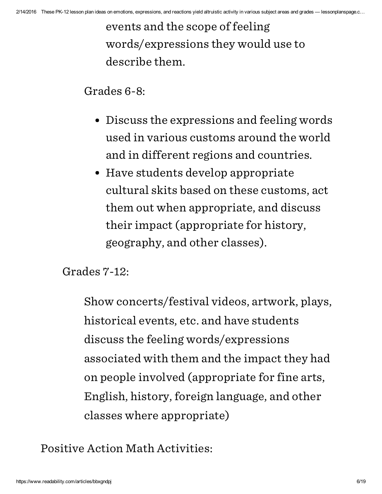events and the scope of feeling words/expressions they would use to describe them.

Grades 6-8:

- Discuss the expressions and feeling words used in various customs around the world and in different regions and countries.
- Have students develop appropriate cultural skits based on these customs, act them out when appropriate, and discuss their impact (appropriate for history, geography, and other classes).

Grades 7-12:

Show concerts/festival videos, artwork, plays, historical events, etc. and have students discuss the feeling words/expressions associated with them and the impact they had on people involved (appropriate for fine arts, English, history, foreign language, and other classes where appropriate)

Positive Action Math Activities: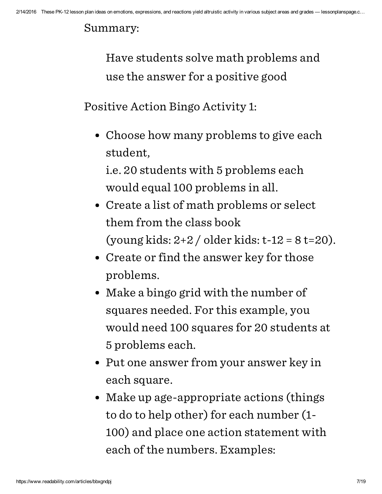#### Summary:

Have students solve math problems and use the answer for a positive good

Positive Action Bingo Activity 1:

• Choose how many problems to give each student,

i.e. 20 students with 5 problems each would equal 100 problems in all.

- Create a list of math problems or select them from the class book (young kids: 2+2 / older kids: t-12 = 8 t=20).
- Create or find the answer key for those problems.
- Make a bingo grid with the number of squares needed. For this example, you would need 100 squares for 20 students at 5 problems each.
- Put one answer from your answer key in each square.
- Make up age-appropriate actions (things to do to help other) for each number (1- 100) and place one action statement with each of the numbers. Examples: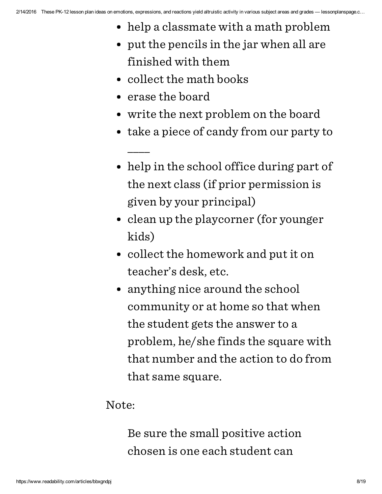- help a classmate with a math problem
- put the pencils in the jar when all are finished with them
- collect the math books
- erase the board

\_\_\_\_

- write the next problem on the board
- take a piece of candy from our party to
- help in the school office during part of the next class (if prior permission is given by your principal)
- clean up the playcorner (for younger kids)
- collect the homework and put it on teacher's desk, etc.
- anything nice around the school community or at home so that when the student gets the answer to a problem, he/she finds the square with that number and the action to do from that same square.

## Note:

Be sure the small positive action chosen is one each student can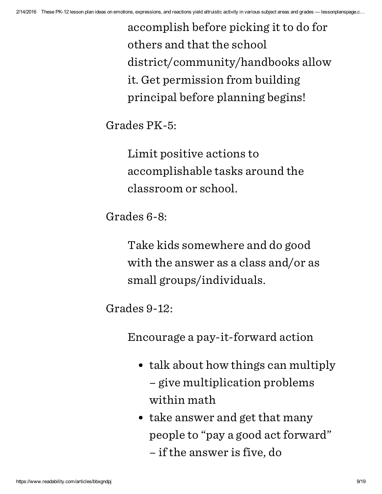accomplish before picking it to do for others and that the school district/community/handbooks allow it. Get permission from building principal before planning begins!

Grades PK-5:

Limit positive actions to accomplishable tasks around the classroom or school.

Grades 6-8:

Take kids somewhere and do good with the answer as a class and/or as small groups/individuals.

Grades 9-12:

Encourage a pay-it-forward action

- talk about how things can multiply – give multiplication problems within math
- take answer and get that many people to "pay a good act forward"

– if the answer is five, do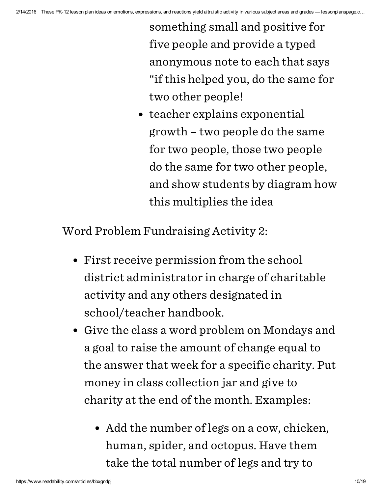something small and positive for five people and provide a typed anonymous note to each that says "if this helped you, do the same for two other people!

• teacher explains exponential growth – two people do the same for two people, those two people do the same for two other people, and show students by diagram how this multiplies the idea

Word Problem Fundraising Activity 2:

- First receive permission from the school district administrator in charge of charitable activity and any others designated in school/teacher handbook.
- Give the class a word problem on Mondays and a goal to raise the amount of change equal to the answer that week for a specific charity. Put money in class collection jar and give to charity at the end of the month. Examples:
	- Add the number of legs on a cow, chicken, human, spider, and octopus. Have them take the total number of legs and try to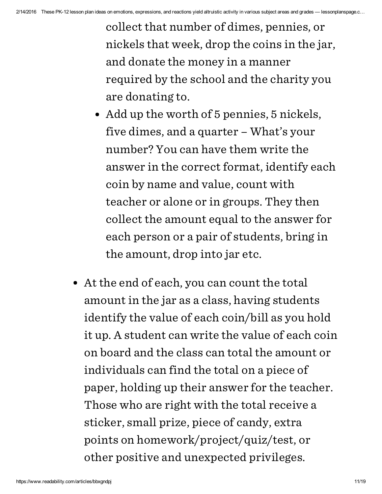collect that number of dimes, pennies, or nickels that week, drop the coins in the jar, and donate the money in a manner required by the school and the charity you are donating to.

- Add up the worth of 5 pennies, 5 nickels, five dimes, and a quarter – What's your number? You can have them write the answer in the correct format, identify each coin by name and value, count with teacher or alone or in groups. They then collect the amount equal to the answer for each person or a pair of students, bring in the amount, drop into jar etc.
- At the end of each, you can count the total amount in the jar as a class, having students identify the value of each coin/bill as you hold it up. A student can write the value of each coin on board and the class can total the amount or individuals can find the total on a piece of paper, holding up their answer for the teacher. Those who are right with the total receive a sticker, small prize, piece of candy, extra points on homework/project/quiz/test, or other positive and unexpected privileges.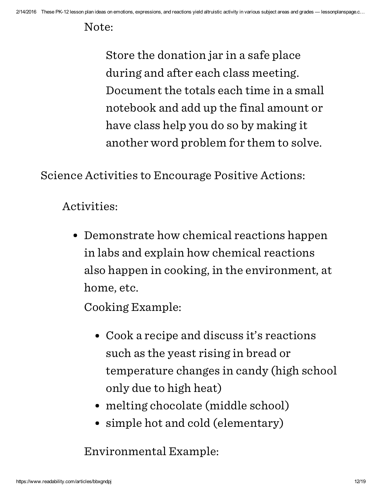Note:

Store the donation jar in a safe place during and after each class meeting. Document the totals each time in a small notebook and add up the final amount or have class help you do so by making it another word problem for them to solve.

Science Activities to Encourage Positive Actions:

Activities:

Demonstrate how chemical reactions happen in labs and explain how chemical reactions also happen in cooking, in the environment, at home, etc.

Cooking Example:

- Cook a recipe and discuss it's reactions such as the yeast rising in bread or temperature changes in candy (high school only due to high heat)
- melting chocolate (middle school)
- simple hot and cold (elementary)

Environmental Example: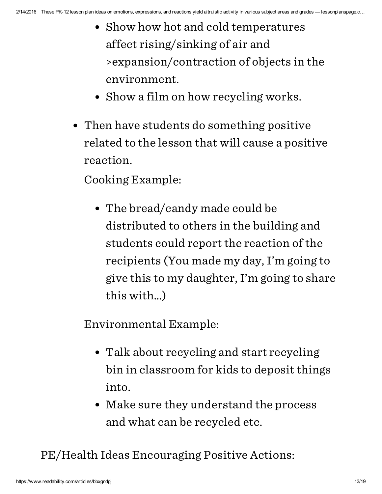- Show how hot and cold temperatures affect rising/sinking of air and >expansion/contraction of objects in the environment.
- Show a film on how recycling works.
- Then have students do something positive related to the lesson that will cause a positive reaction.

Cooking Example:

The bread/candy made could be distributed to others in the building and students could report the reaction of the recipients (You made my day, I'm going to give this to my daughter, I'm going to share this with…)

Environmental Example:

- Talk about recycling and start recycling bin in classroom for kids to deposit things into.
- Make sure they understand the process and what can be recycled etc.

PE/Health Ideas Encouraging Positive Actions: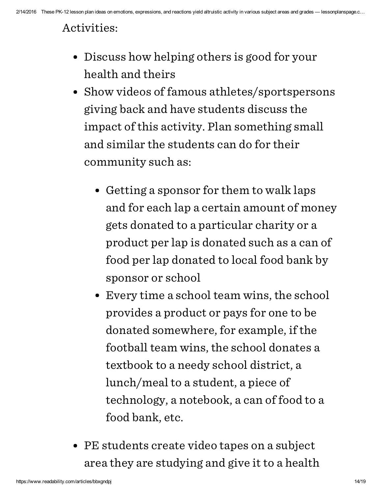## Activities:

- Discuss how helping others is good for your health and theirs
- Show videos of famous athletes/sportspersons giving back and have students discuss the impact of this activity. Plan something small and similar the students can do for their community such as:
	- Getting a sponsor for them to walk laps and for each lap a certain amount of money gets donated to a particular charity or a product per lap is donated such as a can of food per lap donated to local food bank by sponsor or school
	- Every time a school team wins, the school provides a product or pays for one to be donated somewhere, for example, if the football team wins, the school donates a textbook to a needy school district, a lunch/meal to a student, a piece of technology, a notebook, a can of food to a food bank, etc.
- PE students create video tapes on a subject area they are studying and give it to a health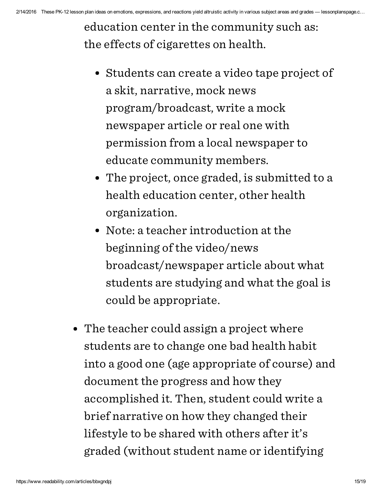education center in the community such as: the effects of cigarettes on health.

- Students can create a video tape project of a skit, narrative, mock news program/broadcast, write a mock newspaper article or real one with permission from a local newspaper to educate community members.
- The project, once graded, is submitted to a health education center, other health organization.
- Note: a teacher introduction at the beginning of the video/news broadcast/newspaper article about what students are studying and what the goal is could be appropriate.
- The teacher could assign a project where students are to change one bad health habit into a good one (age appropriate of course) and document the progress and how they accomplished it. Then, student could write a brief narrative on how they changed their lifestyle to be shared with others after it's graded (without student name or identifying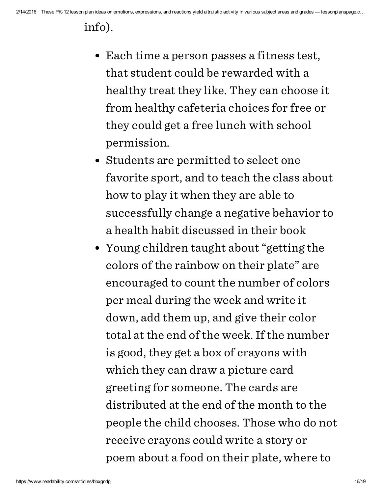## info).

- Each time a person passes a fitness test, that student could be rewarded with a healthy treat they like. They can choose it from healthy cafeteria choices for free or they could get a free lunch with school permission.
- Students are permitted to select one favorite sport, and to teach the class about how to play it when they are able to successfully change a negative behavior to a health habit discussed in their book
- Young children taught about "getting the colors of the rainbow on their plate" are encouraged to count the number of colors per meal during the week and write it down, add them up, and give their color total at the end of the week. If the number is good, they get a box of crayons with which they can draw a picture card greeting for someone. The cards are distributed at the end of the month to the people the child chooses. Those who do not receive crayons could write a story or poem about a food on their plate, where to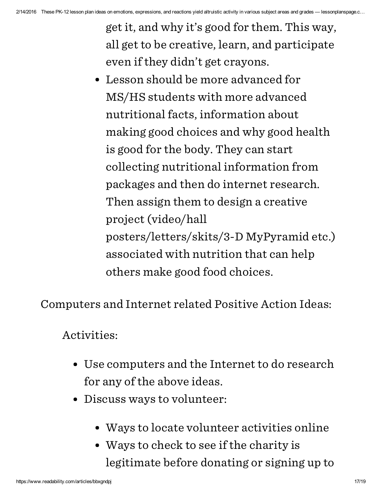get it, and why it's good for them. This way, all get to be creative, learn, and participate even if they didn't get crayons.

Lesson should be more advanced for MS/HS students with more advanced nutritional facts, information about making good choices and why good health is good for the body. They can start collecting nutritional information from packages and then do internet research. Then assign them to design a creative project (video/hall posters/letters/skits/3-D MyPyramid etc.) associated with nutrition that can help others make good food choices.

Computers and Internet related Positive Action Ideas:

## Activities:

- Use computers and the Internet to do research for any of the above ideas.
- Discuss ways to volunteer:
	- Ways to locate volunteer activities online
	- Ways to check to see if the charity is legitimate before donating or signing up to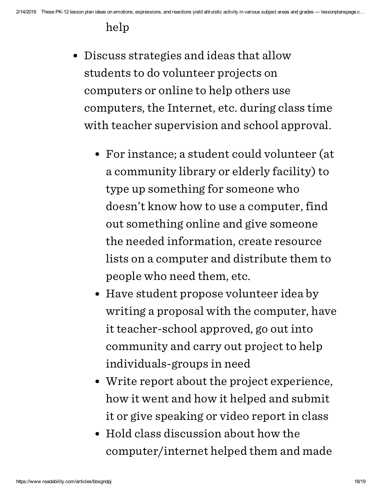## help

- Discuss strategies and ideas that allow students to do volunteer projects on computers or online to help others use computers, the Internet, etc. during class time with teacher supervision and school approval.
	- For instance; a student could volunteer (at a community library or elderly facility) to type up something for someone who doesn't know how to use a computer, find out something online and give someone the needed information, create resource lists on a computer and distribute them to people who need them, etc.
	- Have student propose volunteer idea by writing a proposal with the computer, have it teacher-school approved, go out into community and carry out project to help individuals-groups in need
	- Write report about the project experience, how it went and how it helped and submit it or give speaking or video report in class
	- Hold class discussion about how the computer/internet helped them and made